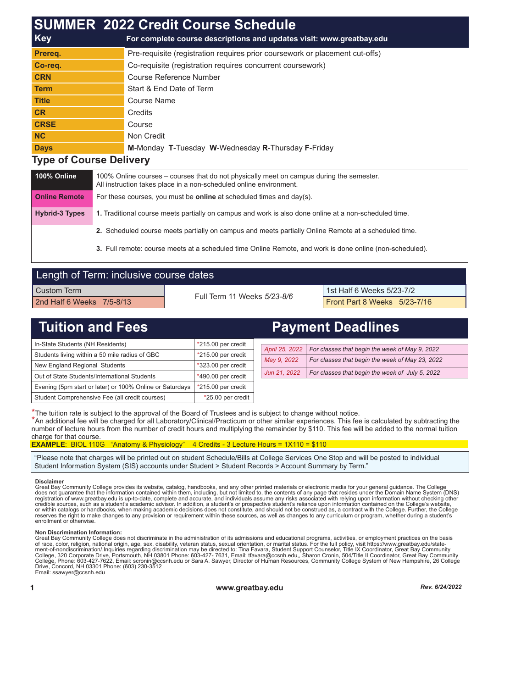# **Key For complete course descriptions and updates visit: www.greatbay.edu Prereq.** Pre-requisite (registration requires prior coursework or placement cut-offs) **Co-req. Co-requisite (registration requires concurrent coursework) CRN** Course Reference Number **Term Start & End Date of Term Title** Course Name **CR** Credits **CRSE** Course **NC** Non Credit **Days M**-Monday **T**-Tuesday **W**-Wednesday **R**-Thursday **F**-Friday **SUMMER 2022 Credit Course Schedule**

## **Type of Course Delivery**

| 100% Online           | 100% Online courses – courses that do not physically meet on campus during the semester.<br>All instruction takes place in a non-scheduled online environment. |
|-----------------------|----------------------------------------------------------------------------------------------------------------------------------------------------------------|
| <b>Online Remote</b>  | For these courses, you must be <b>online</b> at scheduled times and $day(s)$ .                                                                                 |
| <b>Hybrid-3 Types</b> | 1. Traditional course meets partially on campus and work is also done online at a non-scheduled time.                                                          |
|                       | 2. Scheduled course meets partially on campus and meets partially Online Remote at a scheduled time.                                                           |

**3.** Full remote: course meets at a scheduled time Online Remote, and work is done online (non-scheduled).

| Length of Term: inclusive course dates |                             |                              |  |  |  |  |  |  |
|----------------------------------------|-----------------------------|------------------------------|--|--|--|--|--|--|
| l Custom Term                          | Full Term 11 Weeks 5/23-8/6 | 1st Half 6 Weeks 5/23-7/2    |  |  |  |  |  |  |
| 2nd Half 6 Weeks 7/5-8/13              |                             | Front Part 8 Weeks 5/23-7/16 |  |  |  |  |  |  |

|                                                          |                                          |              | <b>Payment Deadlines</b>                        |
|----------------------------------------------------------|------------------------------------------|--------------|-------------------------------------------------|
| $*215.00$ per credit                                     |                                          |              | For classes that begin the week of May 9, 2022  |
|                                                          |                                          |              |                                                 |
|                                                          |                                          |              | For classes that begin the week of May 23, 2022 |
| *490.00 per credit                                       |                                          | Jun 21, 2022 | For classes that begin the week of July 5, 2022 |
| *215.00 per credit                                       |                                          |              |                                                 |
| $*25.00$ per credit                                      |                                          |              |                                                 |
| Evening (5pm start or later) or 100% Online or Saturdays | *215.00 per credit<br>*323.00 per credit |              | April 25, 2022<br>May 9, 2022                   |

\*The tuition rate is subject to the approval of the Board of Trustees and is subject to change without notice.

\*An additional fee will be charged for all Laboratory/Clinical/Practicum or other similar experiences. This fee is calculated by subtracting the number of lecture hours from the number of credit hours and multiplying the remainder by \$110. This fee will be added to the normal tuition charge for that course.

## **EXAMPLE**: BIOL 110G "Anatomy & Physiology" 4 Credits - 3 Lecture Hours = 1X110 = \$110

"Please note that charges will be printed out on student Schedule/Bills at College Services One Stop and will be posted to individual Student Information System (SIS) accounts under Student > Student Records > Account Summary by Term."

#### **Disclaimer**

Great Bay Community College provides its website, catalog, handbooks, and any other printed materials or electronic media for your general guidance. The College<br>does not guarantee that the information contained within them or within catalogs or handbooks, when making academic decisions does not constitute, and should not be construed as, a contract with the College. Further, the College<br>reserves the right to make changes to any provision or enrollment or otherwise.

#### **Non Discrimination Information:**

Great Bay Community College does not discriminate in the administration of its admissions and educational programs, activities, or employment practices on the basis<br>of race, color, religion, national origin, age, sex, disa Email: ssawyer@ccsnh.edu

## **1 www.greatbay.edu** *Rev. 6/24/2022*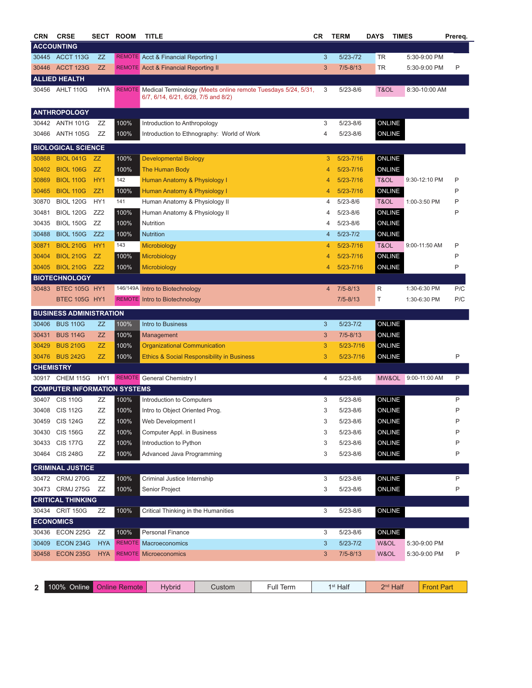|                           | <b>CRSE</b>                         | SECT            | <b>ROOM</b> | <b>TITLE</b>                                                                                                | CR             | <b>TERM</b>                  | <b>DAYS</b>   | <b>TIMES</b>        | Prereq. |
|---------------------------|-------------------------------------|-----------------|-------------|-------------------------------------------------------------------------------------------------------------|----------------|------------------------------|---------------|---------------------|---------|
|                           | <b>ACCOUNTING</b>                   |                 |             |                                                                                                             |                |                              |               |                     |         |
|                           | 30445 ACCT 113G                     | ZZ              |             | <b>REMOTE</b> Acct & Financial Reporting I                                                                  | 3              | $5/23 - 72$                  | TR            | 5:30-9:00 PM        |         |
|                           | 30446 ACCT 123G                     | ZZ              |             | <b>REMOTE</b> Acct & Financial Reporting II                                                                 | 3              | $7/5 - 8/13$                 | TR            | 5:30-9:00 PM        | P       |
|                           | <b>ALLIED HEALTH</b>                |                 |             |                                                                                                             |                |                              |               |                     |         |
|                           | 30456 AHLT 110G                     | HYA             |             | REMOTE Medical Terminology (Meets online remote Tuesdays 5/24, 5/31,<br>6/7, 6/14, 6/21, 6/28, 7/5 and 8/2) | 3              | $5/23 - 8/6$                 | T&OL          | 8:30-10:00 AM       |         |
|                           | <b>ANTHROPOLOGY</b>                 |                 |             |                                                                                                             |                |                              |               |                     |         |
|                           | 30442 ANTH 101G                     | ΖZ              | 100%        | Introduction to Anthropology                                                                                | 3              | 5/23-8/6                     | ONLINE        |                     |         |
|                           | 30466 ANTH 105G                     | ΖZ              | 100%        | Introduction to Ethnography: World of Work                                                                  | 4              | $5/23 - 8/6$                 | ONLINE        |                     |         |
|                           |                                     |                 |             |                                                                                                             |                |                              |               |                     |         |
|                           | <b>BIOLOGICAL SCIENCE</b>           |                 |             |                                                                                                             |                |                              |               |                     |         |
| 30868                     | <b>BIOL 041G</b>                    | – ZZ            | 100%        | <b>Developmental Biology</b>                                                                                | 3              | $5/23 - 7/16$                | ONLINE        |                     |         |
| 30402                     | <b>BIOL 106G</b>                    | <b>ZZ</b>       | 100%        | <b>The Human Body</b>                                                                                       | $\overline{4}$ | $5/23 - 7/16$                | ONLINE        |                     |         |
| 30869                     | <b>BIOL 110G</b>                    | HY <sub>1</sub> | 142         | Human Anatomy & Physiology I                                                                                | 4              | $5/23 - 7/16$                | T&OL          | 9:30-12:10 PM       | P       |
| 30465                     | <b>BIOL 110G</b>                    | ZZ1             | 100%        | Human Anatomy & Physiology I                                                                                | 4              | $5/23 - 7/16$                | ONLINE        |                     | P       |
| 30870                     | <b>BIOL 120G</b>                    | HY1             | 141         | Human Anatomy & Physiology II                                                                               | 4              | $5/23 - 8/6$                 | T&OL          | 1:00-3:50 PM        | P       |
| 30481                     | <b>BIOL 120G</b>                    | ZZ <sub>2</sub> | 100%        | Human Anatomy & Physiology II                                                                               | 4              | $5/23 - 8/6$                 | ONLINE        |                     | P       |
| 30435                     | <b>BIOL 150G</b>                    | ΖZ              | 100%        | Nutrition                                                                                                   | 4              | $5/23 - 8/6$                 | ONLINE        |                     |         |
| 30488                     | <b>BIOL 150G</b>                    | ZZ <sub>2</sub> | 100%        | <b>Nutrition</b>                                                                                            | 4              | $5/23 - 7/2$                 | ONLINE        |                     |         |
| 30871                     | <b>BIOL 210G</b>                    | HY <sub>1</sub> | 143         | Microbiology                                                                                                | 4              | $5/23 - 7/16$                | T&OL          | 9:00-11:50 AM       | P       |
| 30404                     | <b>BIOL 210G</b>                    | ZZ              | 100%        | Microbiology                                                                                                | 4              | $5/23 - 7/16$                | ONLINE        |                     | P       |
|                           | 30405 BIOL 210G                     | ZZ <sub>2</sub> | 100%        | Microbiology                                                                                                | 4              | $5/23 - 7/16$                | ONLINE        |                     | P       |
|                           | <b>BIOTECHNOLOGY</b>                |                 |             |                                                                                                             |                |                              |               |                     |         |
| 30483                     | <b>BTEC 105G HY1</b>                |                 |             | 146/149A Intro to Biotechnology                                                                             | $\overline{4}$ | $7/5 - 8/13$                 | R             | 1:30-6:30 PM        | P/C     |
|                           | BTEC 105G HY1                       |                 |             | <b>REMOTE</b> Intro to Biotechnology                                                                        |                | 7/5-8/13                     | Т             | 1:30-6:30 PM        | P/C     |
|                           |                                     |                 |             |                                                                                                             |                |                              |               |                     |         |
|                           | <b>BUSINESS ADMINISTRATION</b>      |                 |             |                                                                                                             |                |                              |               |                     |         |
|                           | 30406 BUS 110G                      | ZZ              | 100%        | <b>Intro to Business</b>                                                                                    | 3              | $5/23 - 7/2$                 | ONLINE        |                     |         |
| 30431                     | <b>BUS 114G</b>                     | ZZ              | 100%        | Management                                                                                                  | 3              | $7/5 - 8/13$                 | ONLINE        |                     |         |
| 30429                     | <b>BUS 210G</b>                     |                 |             |                                                                                                             |                |                              |               |                     |         |
|                           |                                     | <b>ZZ</b>       | 100%        | <b>Organizational Communication</b>                                                                         | 3              | $5/23 - 7/16$                | ONLINE        |                     |         |
|                           | 30476 BUS 242G                      | ZZ              | 100%        | <b>Ethics &amp; Social Responsibility in Business</b>                                                       | 3              | $5/23 - 7/16$                | ONLINE        |                     | Ρ       |
|                           |                                     |                 |             |                                                                                                             |                |                              |               |                     |         |
|                           | 30917 CHEM 115G                     | HY1             |             | <b>REMOTE</b> General Chemistry I                                                                           | 4              | 5/23-8/6                     |               | MW&OL 9:00-11:00 AM | P       |
|                           | <b>COMPUTER INFORMATION SYSTEMS</b> |                 |             |                                                                                                             |                |                              |               |                     |         |
|                           | 30407 CIS 110G                      | ΖZ              | 100%        | Introduction to Computers                                                                                   | 3              | 5/23-8/6                     | ONLINE        |                     | Ρ       |
|                           | <b>CIS 112G</b>                     | ΖZ              | 100%        | Intro to Object Oriented Prog.                                                                              | 3              | 5/23-8/6                     | <b>ONLINE</b> |                     | P       |
|                           |                                     | ΖZ              |             | Web Development I                                                                                           | 3              |                              | ONLINE        |                     | P       |
|                           | 30459 CIS 124G                      |                 | 100%        |                                                                                                             | 3              | $5/23 - 8/6$<br>$5/23 - 8/6$ |               |                     | P       |
|                           | 30430 CIS 156G                      | ΖZ              | 100%        | Computer Appl. in Business                                                                                  |                |                              | ONLINE        |                     |         |
|                           | 30433 CIS 177G                      | ΖZ              | 100%        | Introduction to Python                                                                                      | 3              | $5/23 - 8/6$                 | ONLINE        |                     | Ρ       |
|                           | 30464 CIS 248G                      | ΖZ              | 100%        | Advanced Java Programming                                                                                   | 3              | $5/23 - 8/6$                 | <b>ONLINE</b> |                     | P       |
|                           | <b>CRIMINAL JUSTICE</b>             |                 |             |                                                                                                             |                |                              |               |                     |         |
|                           | 30472 CRMJ 270G                     | ZZ              | 100%        | Criminal Justice Internship                                                                                 | 3              | $5/23 - 8/6$                 | ONLINE        |                     | P       |
|                           | 30473 CRMJ 275G                     | ΖZ              | 100%        | Senior Project                                                                                              | 3              | $5/23 - 8/6$                 | ONLINE        |                     | Ρ       |
|                           | <b>CRITICAL THINKING</b>            |                 |             |                                                                                                             |                |                              |               |                     |         |
|                           | 30434 CRIT 150G                     | ΖZ              | 100%        | Critical Thinking in the Humanities                                                                         | 3              | $5/23 - 8/6$                 | ONLINE        |                     |         |
|                           | <b>ECONOMICS</b>                    |                 |             |                                                                                                             |                |                              |               |                     |         |
|                           | 30436 ECON 225G                     | ΖZ              | 100%        | <b>Personal Finance</b>                                                                                     | 3              | $5/23 - 8/6$                 | ONLINE        |                     |         |
| <b>CHEMISTRY</b><br>30408 | 30409 ECON 234G                     | <b>HYA</b>      |             | <b>REMOTE</b> Macroeconomics                                                                                | 3              | $5/23 - 7/2$                 | W&OL          | 5:30-9:00 PM        |         |

| -<br>- | .<br>$00\%$<br>)nline<br>- UU . | note<br>mill | Hvbrid | ustom | ⊤ ullس <i>.</i><br>Term | Halt | 2n <sub>o</sub><br>Halt |  |
|--------|---------------------------------|--------------|--------|-------|-------------------------|------|-------------------------|--|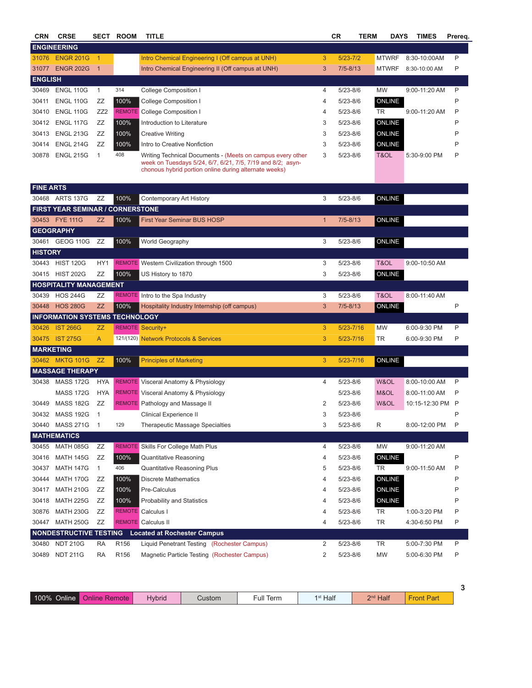| <b>CRN</b>       | <b>CRSE</b>                             | SECT            | <b>ROOM</b>      | <b>TITLE</b>                                                                                                                                                                      |              | CR           | <b>TERM</b><br><b>DAYS</b> | <b>TIMES</b>     | Prereq. |
|------------------|-----------------------------------------|-----------------|------------------|-----------------------------------------------------------------------------------------------------------------------------------------------------------------------------------|--------------|--------------|----------------------------|------------------|---------|
|                  | <b>ENGINEERING</b>                      |                 |                  |                                                                                                                                                                                   |              |              |                            |                  |         |
| 31076            | <b>ENGR 201G</b>                        | $\overline{1}$  |                  | Intro Chemical Engineering I (Off campus at UNH)                                                                                                                                  | 3            | $5/23 - 7/2$ | <b>MTWRF</b>               | 8:30-10:00AM     | P       |
| 31077            | <b>ENGR 202G</b>                        | $\overline{1}$  |                  | Intro Chemical Engineering II (Off campus at UNH)                                                                                                                                 | 3            | $7/5 - 8/13$ | <b>MTWRF</b>               | 8:30-10:00 AM    | P       |
| <b>ENGLISH</b>   |                                         |                 |                  |                                                                                                                                                                                   |              |              |                            |                  |         |
| 30469            | <b>ENGL 110G</b>                        | $\mathbf{1}$    | 314              | College Composition I                                                                                                                                                             | 4            | $5/23 - 8/6$ | <b>MW</b>                  | 9:00-11:20 AM    | Ρ       |
| 30411            | <b>ENGL 110G</b>                        | ZZ              | 100%             | College Composition I                                                                                                                                                             | 4            | $5/23 - 8/6$ | ONLINE                     |                  | P       |
| 30410            | <b>ENGL 110G</b>                        | ZZ <sub>2</sub> |                  | <b>REMOTE</b> College Composition I                                                                                                                                               | 4            | $5/23 - 8/6$ | TR                         | 9:00-11:20 AM    | P       |
| 30412            | ENGL 117G                               | ZZ              | 100%             | Introduction to Literature                                                                                                                                                        | 3            | $5/23 - 8/6$ | <b>ONLINE</b>              |                  | P       |
| 30413            | <b>ENGL 213G</b>                        | ZZ              | 100%             | Creative Writing                                                                                                                                                                  | 3            | $5/23 - 8/6$ | ONLINE                     |                  | P       |
| 30414            | <b>ENGL 214G</b>                        | ZZ              | 100%             | Intro to Creative Nonfiction                                                                                                                                                      | 3            | $5/23 - 8/6$ | ONLINE                     |                  | Ρ       |
| 30878            | <b>ENGL 215G</b>                        | $\mathbf{1}$    | 408              | Writing Technical Documents - (Meets on campus every other<br>week on Tuesdays 5/24, 6/7, 6/21, 7/5, 7/19 and 8/2; asyn-<br>chonous hybrid portion online during alternate weeks) | 3            | $5/23 - 8/6$ | T&OL                       | 5:30-9:00 PM     | Ρ       |
| <b>FINE ARTS</b> |                                         |                 |                  |                                                                                                                                                                                   |              |              |                            |                  |         |
|                  | 30468 ARTS 137G                         | ΖZ              | 100%             | Contemporary Art History                                                                                                                                                          | 3            | $5/23 - 8/6$ | <b>ONLINE</b>              |                  |         |
|                  | <b>FIRST YEAR SEMINAR / CORNERSTONE</b> |                 |                  |                                                                                                                                                                                   |              |              |                            |                  |         |
|                  | 30453 FYE 111G                          | <b>ZZ</b>       | 100%             | <b>First Year Seminar BUS HOSP</b>                                                                                                                                                | $\mathbf{1}$ | $7/5 - 8/13$ | <b>ONLINE</b>              |                  |         |
|                  | <b>GEOGRAPHY</b>                        |                 |                  |                                                                                                                                                                                   |              |              |                            |                  |         |
|                  | 30461 GEOG 110G                         | ZZ              | 100%             | World Geography                                                                                                                                                                   | 3            | 5/23-8/6     | <b>ONLINE</b>              |                  |         |
| <b>HISTORY</b>   |                                         |                 |                  |                                                                                                                                                                                   |              |              |                            |                  |         |
|                  | 30443 HIST 120G                         | HY1             |                  | <b>REMOTE</b> Western Civilization through 1500                                                                                                                                   | 3            | $5/23 - 8/6$ | T&OL                       | 9:00-10:50 AM    |         |
|                  | 30415 HIST 202G                         | ΖZ              | 100%             | US History to 1870                                                                                                                                                                | 3            | 5/23-8/6     | ONLINE                     |                  |         |
|                  | <b>HOSPITALITY MANAGEMENT</b>           |                 |                  |                                                                                                                                                                                   |              |              |                            |                  |         |
| 30439            | <b>HOS 244G</b>                         | ZZ              |                  | REMOTE Intro to the Spa Industry                                                                                                                                                  | 3            | $5/23 - 8/6$ | T&OL                       | 8:00-11:40 AM    |         |
| 30448            | <b>HOS 280G</b>                         | <b>ZZ</b>       | 100%             | Hospitality Industry Internship (off campus)                                                                                                                                      | 3            | $7/5 - 8/13$ | <b>ONLINE</b>              |                  | P       |
|                  | <b>INFORMATION SYSTEMS TECHNOLOGY</b>   |                 |                  |                                                                                                                                                                                   |              |              |                            |                  |         |
| 30426            | <b>IST 266G</b>                         | <b>ZZ</b>       |                  | <b>REMOTE</b> Security+                                                                                                                                                           | 3            | 5/23-7/16    | <b>MW</b>                  | 6:00-9:30 PM     | P       |
|                  | 30475 IST 275G                          | A               |                  | 121/(120) Network Protocols & Services                                                                                                                                            | 3            | 5/23-7/16    | TR                         | 6:00-9:30 PM     | Ρ       |
| <b>MARKETING</b> |                                         |                 |                  |                                                                                                                                                                                   |              |              |                            |                  |         |
|                  | 30462 MKTG 101G                         | ZZ              | 100%             | <b>Principles of Marketing</b>                                                                                                                                                    | 3            | 5/23-7/16    | <b>ONLINE</b>              |                  |         |
|                  | <b>MASSAGE THERAPY</b>                  |                 |                  |                                                                                                                                                                                   |              |              |                            |                  |         |
| 30438            | <b>MASS 172G</b>                        | <b>HYA</b>      |                  | <b>REMOTE</b> Visceral Anatomy & Physiology                                                                                                                                       | 4            | $5/23 - 8/6$ | W&OL                       | 8:00-10:00 AM    | Ρ       |
|                  | <b>MASS 172G</b>                        | <b>HYA</b>      |                  | <b>REMOTE</b> Visceral Anatomy & Physiology                                                                                                                                       |              | $5/23 - 8/6$ | M&OL                       | 8:00-11:00 AM    | P       |
| 30449            | <b>MASS 182G</b>                        | ZZ              |                  | <b>REMOTE</b> Pathology and Massage II                                                                                                                                            | 2            | 5/23-8/6     | W&OL                       | 10:15-12:30 PM P |         |
| 30432            | <b>MASS 192G</b>                        | 1               |                  | Clinical Experience II                                                                                                                                                            | 3            | 5/23-8/6     |                            |                  | P       |
|                  | 30440 MASS 271G 1                       |                 | 129              | <b>Therapeutic Massage Specialties</b>                                                                                                                                            | 3            | 5/23-8/6     | R                          | 8:00-12:00 PM    | P       |
|                  | <b>MATHEMATICS</b>                      |                 |                  |                                                                                                                                                                                   |              |              |                            |                  |         |
| 30455            | <b>MATH 085G</b>                        | ZZ              |                  | <b>REMOTE</b> Skills For College Math Plus                                                                                                                                        | 4            | 5/23-8/6     | MW                         | 9:00-11:20 AM    |         |
| 30416            | <b>MATH 145G</b>                        | ΖZ              | 100%             | Quantitative Reasoning                                                                                                                                                            | 4            | $5/23 - 8/6$ | ONLINE                     |                  | P       |
| 30437            | <b>MATH 147G</b>                        | $\mathbf{1}$    | 406              | <b>Quantitative Reasoning Plus</b>                                                                                                                                                | 5            | $5/23 - 8/6$ | TR                         | 9:00-11:50 AM    | Ρ       |
| 30444            | <b>MATH 170G</b>                        | ZZ              | 100%             | <b>Discrete Mathematics</b>                                                                                                                                                       | 4            | $5/23 - 8/6$ | ONLINE                     |                  | P       |
| 30417            | <b>MATH 210G</b>                        | ZZ              | 100%             | Pre-Calculus                                                                                                                                                                      | 4            | $5/23 - 8/6$ | ONLINE                     |                  | P       |
| 30418            | <b>MATH 225G</b>                        | ZZ              | 100%             | <b>Probability and Statistics</b>                                                                                                                                                 | 4            | $5/23 - 8/6$ | <b>ONLINE</b>              |                  | P       |
| 30876            | <b>MATH 230G</b>                        | ZZ              |                  | <b>REMOTE</b> Calculus I                                                                                                                                                          | 4            | 5/23-8/6     | TR                         | 1:00-3:20 PM     | P       |
| 30447            | <b>MATH 250G</b>                        | ZZ              |                  | <b>REMOTE</b> Calculus II                                                                                                                                                         | 4            | $5/23 - 8/6$ | TR                         | 4:30-6:50 PM     | Ρ       |
|                  | <b>NONDESTRUCTIVE TESTING</b>           |                 |                  | <b>Located at Rochester Campus</b>                                                                                                                                                |              |              |                            |                  |         |
| 30480            | <b>NDT 210G</b>                         | RA              | R156             | Liquid Penetrant Testing (Rochester Campus)                                                                                                                                       | 2            | 5/23-8/6     | TR                         | 5:00-7:30 PM     | Ρ       |
| 30489            | <b>NDT 211G</b>                         | RA              | R <sub>156</sub> | Magnetic Particle Testing (Rochester Campus)                                                                                                                                      | 2            | 5/23-8/6     | MW                         | 5:00-6:30 PM     | Ρ       |

| 100%<br>.<br><b>Online</b> | mote<br>R | <b>Hybrid</b> | ش∪stom | ∙ull T<br>Term | Half | 2nq<br>-lali | 'all |
|----------------------------|-----------|---------------|--------|----------------|------|--------------|------|

**3**